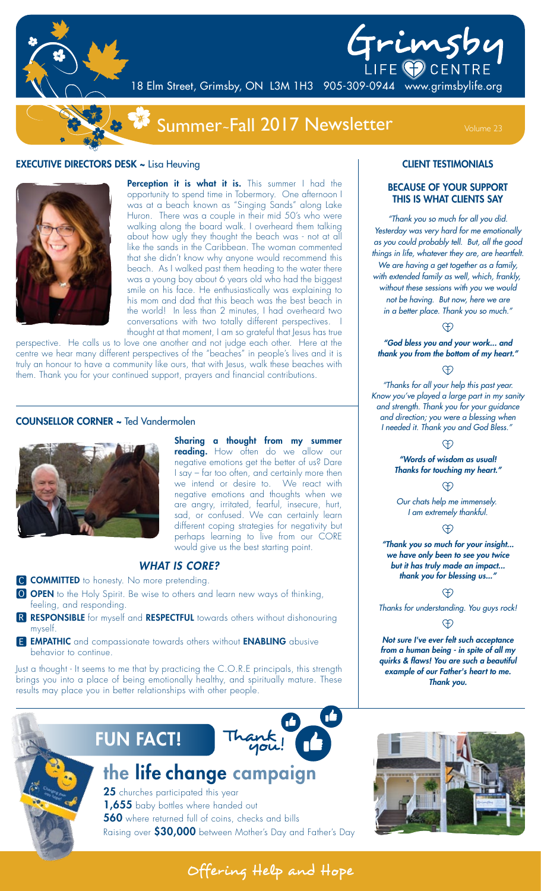

# Grimsby

18 Elm Street, Grimsby, ON L3M 1H3 905-309-0944 www.grimsbylife.org

## Summer~Fall 2017 Newsletter Volume 23

### **EXECUTIVE DIRECTORS DESK ~ Lisa Heuving**



Perception it is what it is. This summer I had the opportunity to spend time in Tobermory. One afternoon I was at a beach known as "Singing Sands" along Lake Huron. There was a couple in their mid 50's who were walking along the board walk. I overheard them talking about how ugly they thought the beach was - not at all like the sands in the Caribbean. The woman commented that she didn't know why anyone would recommend this beach. As I walked past them heading to the water there was a young boy about 6 years old who had the biggest smile on his face. He enthusiastically was explaining to his mom and dad that this beach was the best beach in the world! In less than 2 minutes, I had overheard two conversations with two totally different perspectives. I thought at that moment, I am so grateful that Jesus has true

perspective. He calls us to love one another and not judge each other. Here at the centre we hear many different perspectives of the "beaches" in people's lives and it is truly an honour to have a community like ours, that with Jesus, walk these beaches with them. Thank you for your continued support, prayers and financial contributions.

#### COUNSELLOR CORNER ~ Ted Vandermolen



Sharing a thought from my summer reading. How often do we allow our negative emotions get the better of us? Dare I say – far too often, and certainly more then we intend or desire to. We react with negative emotions and thoughts when we are angry, irritated, fearful, insecure, hurt, sad, or confused. We can certainly learn different coping strategies for negativity but perhaps learning to live from our CORE would give us the best starting point.

#### *WHAT IS CORE?*

- C **COMMITTED** to honesty. No more pretending.
- O OPEN to the Holy Spirit. Be wise to others and learn new ways of thinking, feeling, and responding.
- R RESPONSIBLE for myself and RESPECTFUL towards others without dishonouring myself.
- **E EMPATHIC** and compassionate towards others without **ENABLING** abusive behavior to continue.

Just a thought - It seems to me that by practicing the C.O.R.E principals, this strength brings you into a place of being emotionally healthy, and spiritually mature. These results may place you in better relationships with other people.



## the life change campaign

25 churches participated this year 1,655 baby bottles where handed out 560 where returned full of coins, checks and bills Raising over \$30,000 between Mother's Day and Father's Day

#### CLIENT TESTIMONIALS

#### BECAUSE OF YOUR SUPPORT THIS IS WHAT CLIENTS SAY

*"Thank you so much for all you did. Yesterday was very hard for me emotionally as you could probably tell. But, all the good things in life, whatever they are, are heartfelt. We are having a get together as a family, with extended family as well, which, frankly, without these sessions with you we would not be having. But now, here we are in a better place. Thank you so much."*

*"God bless you and your work... and thank you from the bottom of my heart."*

#### <sup>H</sup>

*"Thanks for all your help this past year. Know you've played a large part in my sanity and strength. Thank you for your guidance and direction; you were a blessing when I needed it. Thank you and God Bless."* 

#### **A**

*"Words of wisdom as usual! Thanks for touching my heart."*

#### Ð

*Our chats help me immensely. I am extremely thankful.*

#### $\oplus$

*"Thank you so much for your insight... we have only been to see you twice but it has truly made an impact... thank you for blessing us..."*

#### <u>F</u>

*Thanks for understanding. You guys rock!*

#### $\oplus$

*Not sure I've ever felt such acceptance from a human being - in spite of all my quirks & flaws! You are such a beautiful example of our Father's heart to me. Thank you.*



Offering Help and Hope